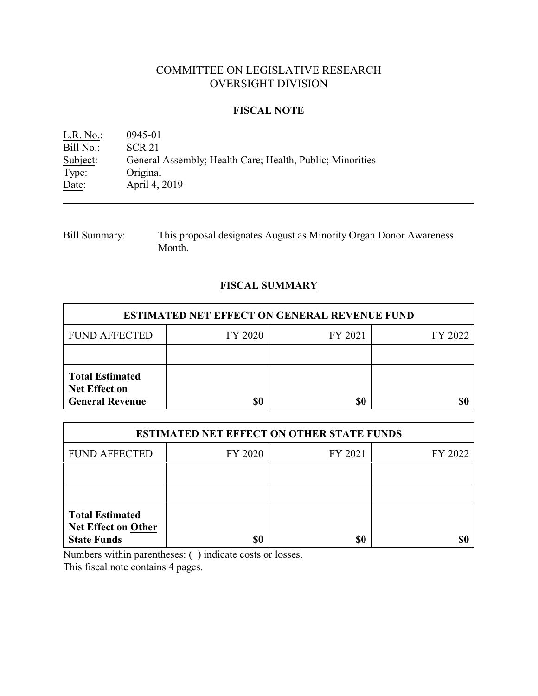# COMMITTEE ON LEGISLATIVE RESEARCH OVERSIGHT DIVISION

### **FISCAL NOTE**

| $L.R. No.$ : | 0945-01                                                   |
|--------------|-----------------------------------------------------------|
| Bill No.:    | <b>SCR 21</b>                                             |
| Subject:     | General Assembly; Health Care; Health, Public; Minorities |
| Type:        | Original                                                  |
| Date:        | April 4, 2019                                             |

| Bill Summary: | This proposal designates August as Minority Organ Donor Awareness |
|---------------|-------------------------------------------------------------------|
|               | Month.                                                            |

### **FISCAL SUMMARY**

| <b>ESTIMATED NET EFFECT ON GENERAL REVENUE FUND</b>                      |         |         |         |  |
|--------------------------------------------------------------------------|---------|---------|---------|--|
| <b>FUND AFFECTED</b>                                                     | FY 2020 | FY 2021 | FY 2022 |  |
|                                                                          |         |         |         |  |
| <b>Total Estimated</b><br><b>Net Effect on</b><br><b>General Revenue</b> | \$0     | \$0     |         |  |

| <b>ESTIMATED NET EFFECT ON OTHER STATE FUNDS</b>                           |         |         |         |  |
|----------------------------------------------------------------------------|---------|---------|---------|--|
| <b>FUND AFFECTED</b>                                                       | FY 2020 | FY 2021 | FY 2022 |  |
|                                                                            |         |         |         |  |
|                                                                            |         |         |         |  |
| <b>Total Estimated</b><br><b>Net Effect on Other</b><br><b>State Funds</b> | \$0     | \$0     |         |  |

Numbers within parentheses: ( ) indicate costs or losses.

This fiscal note contains 4 pages.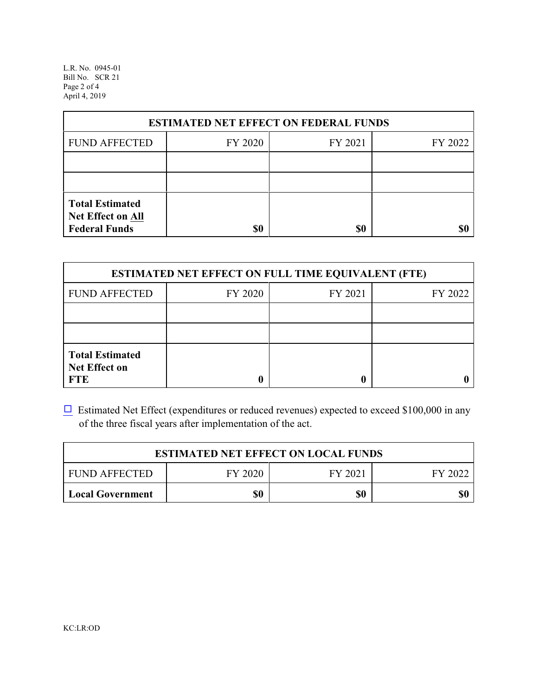L.R. No. 0945-01 Bill No. SCR 21 Page 2 of 4 April 4, 2019

| <b>ESTIMATED NET EFFECT ON FEDERAL FUNDS</b>                        |         |         |         |  |
|---------------------------------------------------------------------|---------|---------|---------|--|
| <b>FUND AFFECTED</b>                                                | FY 2020 | FY 2021 | FY 2022 |  |
|                                                                     |         |         |         |  |
|                                                                     |         |         |         |  |
| <b>Total Estimated</b><br>Net Effect on All<br><b>Federal Funds</b> | \$0     | \$0     |         |  |

| <b>ESTIMATED NET EFFECT ON FULL TIME EQUIVALENT (FTE)</b>    |         |         |         |  |
|--------------------------------------------------------------|---------|---------|---------|--|
| <b>FUND AFFECTED</b>                                         | FY 2020 | FY 2021 | FY 2022 |  |
|                                                              |         |         |         |  |
|                                                              |         |         |         |  |
| <b>Total Estimated</b><br><b>Net Effect on</b><br><b>FTE</b> |         |         |         |  |

 $\Box$  Estimated Net Effect (expenditures or reduced revenues) expected to exceed \$100,000 in any of the three fiscal years after implementation of the act.

| <b>ESTIMATED NET EFFECT ON LOCAL FUNDS</b>            |     |     |     |  |
|-------------------------------------------------------|-----|-----|-----|--|
| FY 2020<br><b>FUND AFFECTED</b><br>FY 2021<br>FY 2022 |     |     |     |  |
| <b>Local Government</b>                               | \$0 | \$0 | \$0 |  |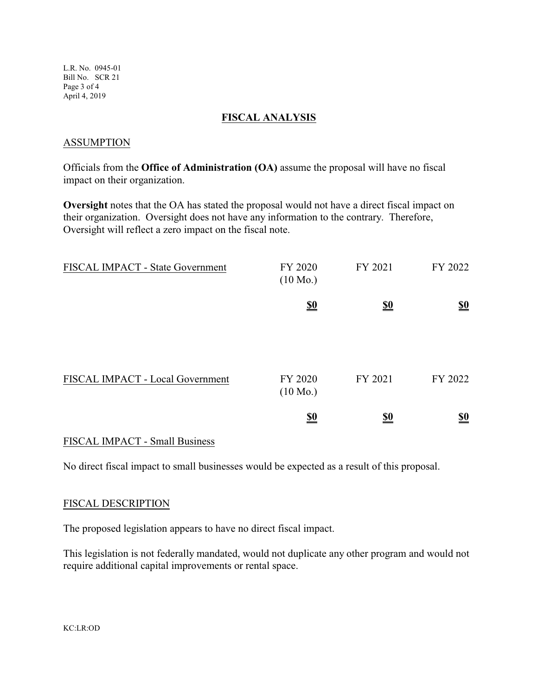L.R. No. 0945-01 Bill No. SCR 21 Page 3 of 4 April 4, 2019

#### **FISCAL ANALYSIS**

#### ASSUMPTION

Officials from the **Office of Administration (OA)** assume the proposal will have no fiscal impact on their organization.

**Oversight** notes that the OA has stated the proposal would not have a direct fiscal impact on their organization. Oversight does not have any information to the contrary. Therefore, Oversight will reflect a zero impact on the fiscal note.

| FISCAL IMPACT - State Government | FY 2020<br>$(10 \text{ Mo.})$ | FY 2021                       | FY 2022                       |
|----------------------------------|-------------------------------|-------------------------------|-------------------------------|
|                                  | $\underline{\underline{\$0}}$ | $\underline{\underline{\$0}}$ | $\underline{\underline{\$0}}$ |
|                                  |                               |                               |                               |
| FISCAL IMPACT - Local Government | FY 2020<br>$(10 \text{ Mo.})$ | FY 2021                       | FY 2022                       |
|                                  | <u>\$0</u>                    | <u>\$0</u>                    | $\underline{\underline{\$0}}$ |

#### FISCAL IMPACT - Small Business

No direct fiscal impact to small businesses would be expected as a result of this proposal.

#### FISCAL DESCRIPTION

The proposed legislation appears to have no direct fiscal impact.

This legislation is not federally mandated, would not duplicate any other program and would not require additional capital improvements or rental space.